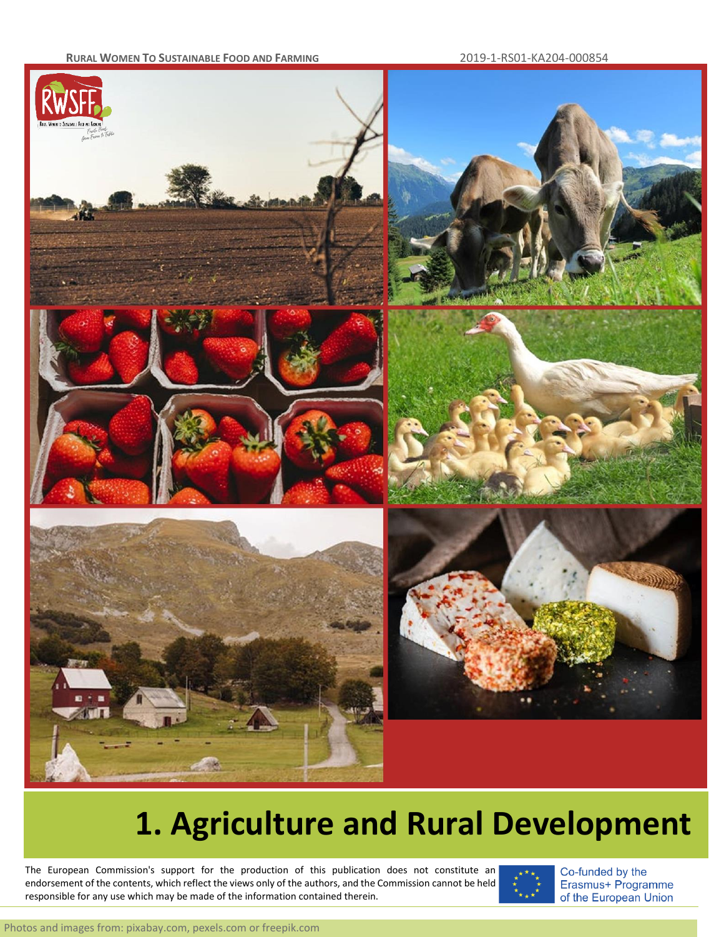#### **RURAL WOMEN TO SUSTAINABLE FOOD AND FARMING** 2019-1-RS01-KA204-000854



# **1. Agriculture and Rural Development**

endorsement of the contents, which reflect the views only of the authors, and the Commission cannot be held in the The European Commission's support for the production of this publication does not constitute an responsible for any use which may be made of the information contained therein.



Co-funded by the Erasmus+ Programme of the European Union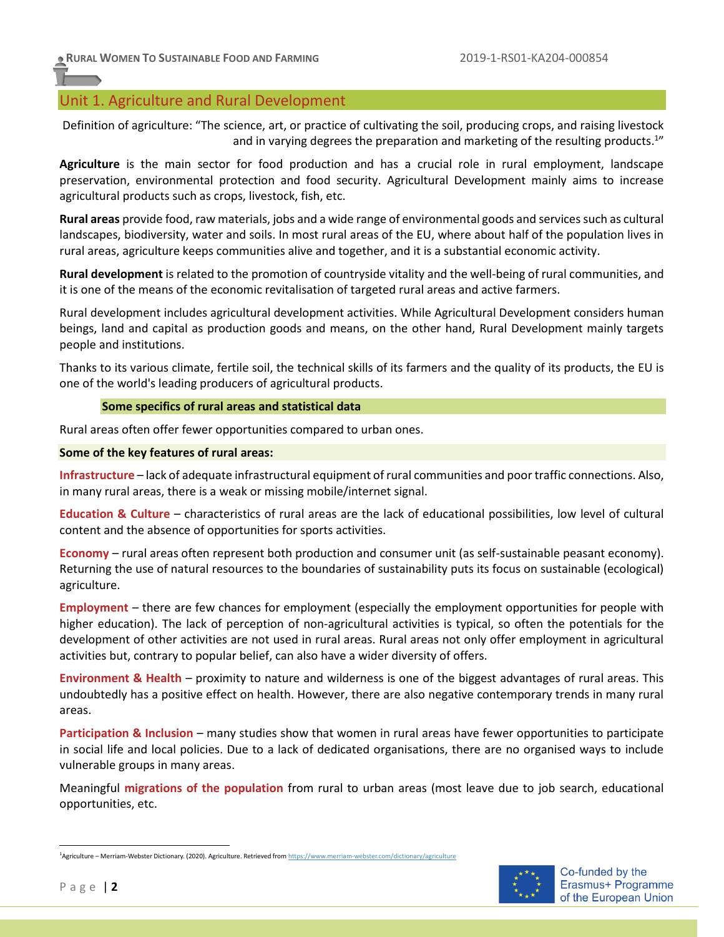## Unit 1. Agriculture and Rural Development

Definition of agriculture: "The science, art, or practice of cultivating the soil, producing crops, and raising livestock and in varying degrees the preparation and marketing of the resulting products.<sup>1</sup>"

**Agriculture** is the main sector for food production and has a crucial role in rural employment, landscape preservation, environmental protection and food security. Agricultural Development mainly aims to increase agricultural products such as crops, livestock, fish, etc.

**Rural areas** provide food, raw materials, jobs and a wide range of environmental goods and services such as cultural landscapes, biodiversity, water and soils. In most rural areas of the EU, where about half of the population lives in rural areas, agriculture keeps communities alive and together, and it is a substantial economic activity.

**Rural development** is related to the promotion of countryside vitality and the well-being of rural communities, and it is one of the means of the economic revitalisation of targeted rural areas and active farmers.

Rural development includes agricultural development activities. While Agricultural Development considers human beings, land and capital as production goods and means, on the other hand, Rural Development mainly targets people and institutions.

Thanks to its various climate, fertile soil, the technical skills of its farmers and the quality of its products, the EU is one of the world's leading producers of agricultural products.

## **Some specifics of rural areas and statistical data**

Rural areas often offer fewer opportunities compared to urban ones.

## **Some of the key features of rural areas:**

**Infrastructure** – lack of adequate infrastructural equipment of rural communities and poor traffic connections. Also, in many rural areas, there is a weak or missing mobile/internet signal.

**Education & Culture** – characteristics of rural areas are the lack of educational possibilities, low level of cultural content and the absence of opportunities for sports activities.

**Economy** – rural areas often represent both production and consumer unit (as self-sustainable peasant economy). Returning the use of natural resources to the boundaries of sustainability puts its focus on sustainable (ecological) agriculture.

**Employment** – there are few chances for employment (especially the employment opportunities for people with higher education). The lack of perception of non-agricultural activities is typical, so often the potentials for the development of other activities are not used in rural areas. Rural areas not only offer employment in agricultural activities but, contrary to popular belief, can also have a wider diversity of offers.

**Environment & Health** – proximity to nature and wilderness is one of the biggest advantages of rural areas. This undoubtedly has a positive effect on health. However, there are also negative contemporary trends in many rural areas.

**Participation & Inclusion** – many studies show that women in rural areas have fewer opportunities to participate in social life and local policies. Due to a lack of dedicated organisations, there are no organised ways to include vulnerable groups in many areas.

Meaningful **migrations of the population** from rural to urban areas (most leave due to job search, educational opportunities, etc.

<sup>1</sup>Agriculture – Merriam-Webster Dictionary. (2020). Agriculture. Retrieved fro[m https://www.merriam-webster.com/dictionary/agriculture](https://www.merriam-webster.com/dictionary/agriculture)

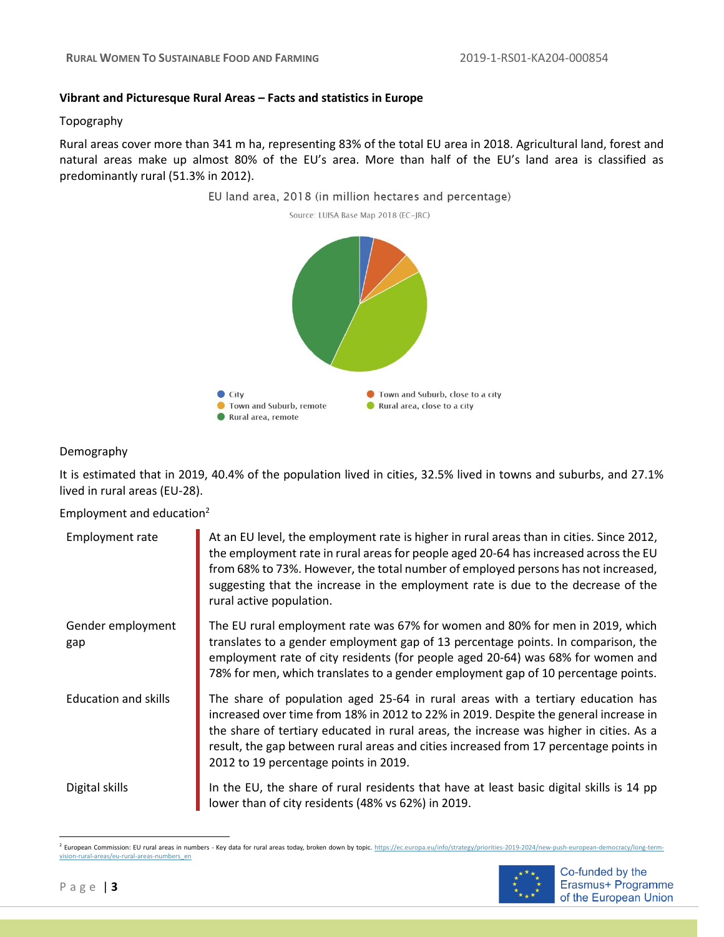#### **Vibrant and Picturesque Rural Areas – Facts and statistics in Europe**

#### Topography

Rural areas cover more than 341 m ha, representing 83% of the total EU area in 2018. Agricultural land, forest and natural areas make up almost 80% of the EU's area. More than half of the EU's land area is classified as predominantly rural (51.3% in 2012).





## Demography

It is estimated that in 2019, 40.4% of the population lived in cities, 32.5% lived in towns and suburbs, and 27.1% lived in rural areas (EU-28).

Employment and education<sup>2</sup>

| <b>Employment rate</b>      | At an EU level, the employment rate is higher in rural areas than in cities. Since 2012,<br>the employment rate in rural areas for people aged 20-64 has increased across the EU<br>from 68% to 73%. However, the total number of employed persons has not increased,<br>suggesting that the increase in the employment rate is due to the decrease of the<br>rural active population.              |
|-----------------------------|-----------------------------------------------------------------------------------------------------------------------------------------------------------------------------------------------------------------------------------------------------------------------------------------------------------------------------------------------------------------------------------------------------|
| Gender employment<br>gap    | The EU rural employment rate was 67% for women and 80% for men in 2019, which<br>translates to a gender employment gap of 13 percentage points. In comparison, the<br>employment rate of city residents (for people aged 20-64) was 68% for women and<br>78% for men, which translates to a gender employment gap of 10 percentage points.                                                          |
| <b>Education and skills</b> | The share of population aged 25-64 in rural areas with a tertiary education has<br>increased over time from 18% in 2012 to 22% in 2019. Despite the general increase in<br>the share of tertiary educated in rural areas, the increase was higher in cities. As a<br>result, the gap between rural areas and cities increased from 17 percentage points in<br>2012 to 19 percentage points in 2019. |
| Digital skills              | In the EU, the share of rural residents that have at least basic digital skills is 14 pp<br>lower than of city residents (48% vs 62%) in 2019.                                                                                                                                                                                                                                                      |

<sup>&</sup>lt;sup>2</sup> European Commission: EU rural areas in numbers - Key data for rural areas today, broken down by topic. [https://ec.europa.eu/info/strategy/priorities-2019-2024/new-push-european-democracy/long-term](https://ec.europa.eu/info/strategy/priorities-2019-2024/new-push-european-democracy/long-term-vision-rural-areas/eu-rural-areas-numbers_en)[vision-rural-areas/eu-rural-areas-numbers\\_en](https://ec.europa.eu/info/strategy/priorities-2019-2024/new-push-european-democracy/long-term-vision-rural-areas/eu-rural-areas-numbers_en)



Co-funded by the Erasmus+ Programme of the European Union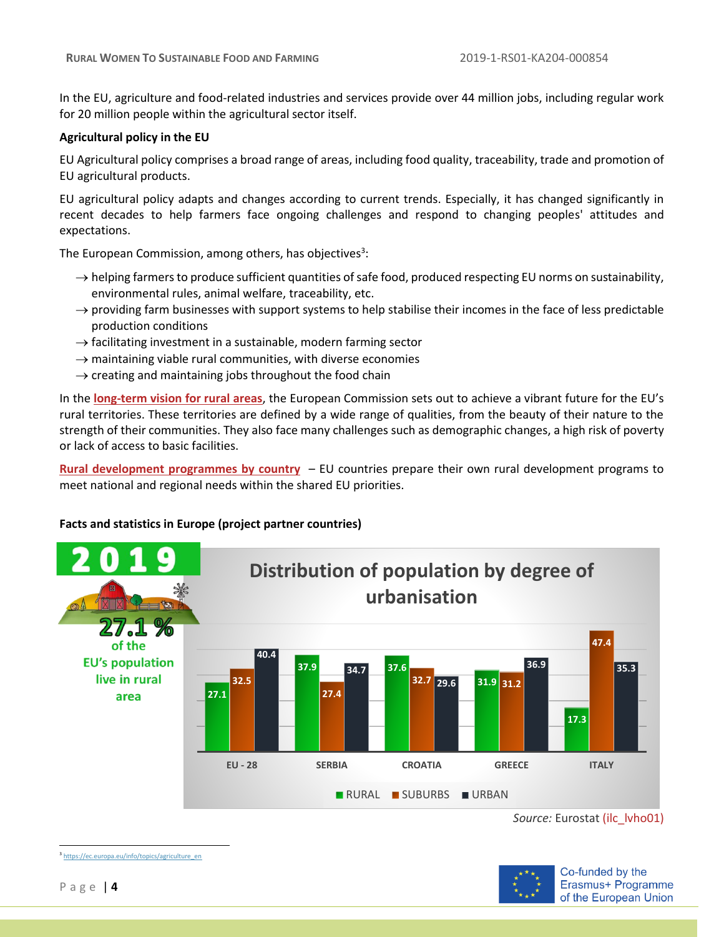In the EU, agriculture and food-related industries and services provide over 44 million jobs, including regular work for 20 million people within the agricultural sector itself.

#### **Agricultural policy in the EU**

EU Agricultural policy comprises a broad range of areas, including food quality, traceability, trade and promotion of EU agricultural products.

EU agricultural policy adapts and changes according to current trends. Especially, it has changed significantly in recent decades to help farmers face ongoing challenges and respond to changing peoples' attitudes and expectations.

The European Commission, among others, has objectives<sup>3</sup>:

- $\rightarrow$  helping farmers to produce sufficient quantities of safe food, produced respecting EU norms on sustainability, environmental rules, animal welfare, traceability, etc.
- $\rightarrow$  providing farm businesses with support systems to help stabilise their incomes in the face of less predictable production conditions
- $\rightarrow$  facilitating investment in a sustainable, modern farming sector
- $\rightarrow$  maintaining viable rural communities, with diverse economies
- $\rightarrow$  creating and maintaining jobs throughout the food chain

In the **[long-term vision for rural areas](https://ec.europa.eu/info/strategy/priorities-2019-2024/new-push-european-democracy/long-term-vision-rural-areas_en)**, the European Commission sets out to achieve a vibrant future for the EU's rural territories. These territories are defined by a wide range of qualities, from the beauty of their nature to the strength of their communities. They also face many challenges such as demographic changes, a high risk of poverty or lack of access to basic facilities.

**[Rural development programmes by country](https://ec.europa.eu/info/food-farming-fisheries/key-policies/common-agricultural-policy/rural-development/country_en)** – EU countries prepare their own rural development programs to meet national and regional needs within the shared EU priorities.

## **Facts and statistics in Europe (project partner countries)**



*Source:* Eurostat [\(ilc\\_lvho01\)](https://ec.europa.eu/eurostat/databrowser/view/ilc_lvho01/default/table?lang=en)



<sup>3</sup> [https://ec.europa.eu/info/topics/agriculture\\_en](https://ec.europa.eu/info/topics/agriculture_en)